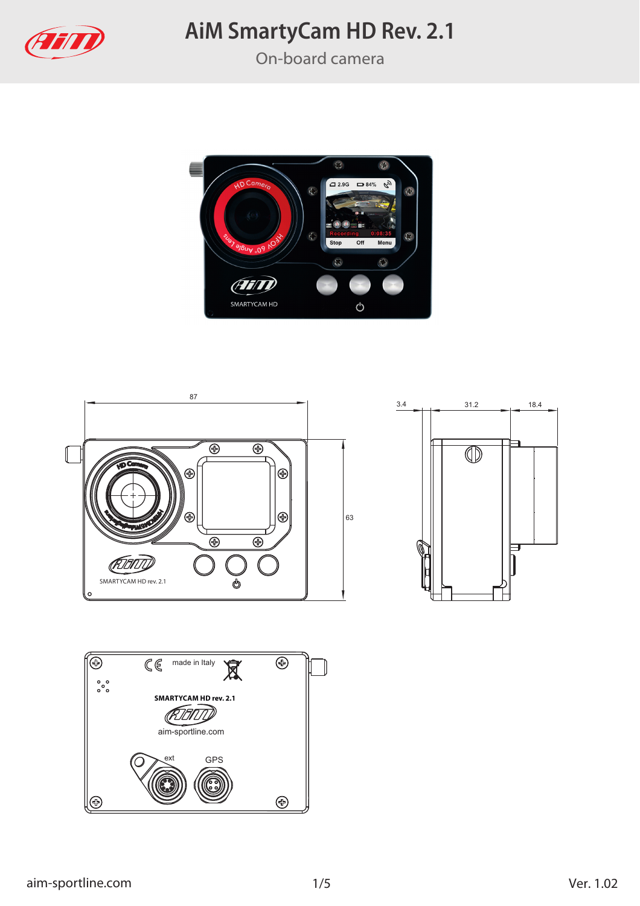

On-board camera







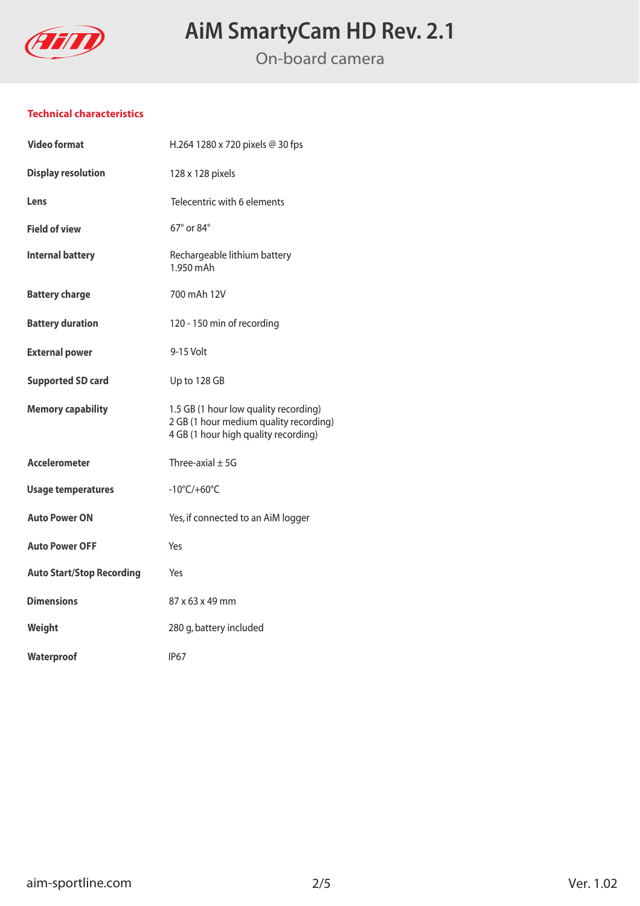

On-board camera

### **Technical characteristics**

| <b>Video format</b>              | H.264 1280 x 720 pixels @ 30 fps                                                                                        |
|----------------------------------|-------------------------------------------------------------------------------------------------------------------------|
| <b>Display resolution</b>        | 128 x 128 pixels                                                                                                        |
| Lens                             | Telecentric with 6 elements                                                                                             |
| <b>Field of view</b>             | 67° or 84°                                                                                                              |
| <b>Internal battery</b>          | Rechargeable lithium battery<br>1.950 mAh                                                                               |
| <b>Battery charge</b>            | 700 mAh 12V                                                                                                             |
| <b>Battery duration</b>          | 120 - 150 min of recording                                                                                              |
| <b>External power</b>            | 9-15 Volt                                                                                                               |
| <b>Supported SD card</b>         | Up to 128 GB                                                                                                            |
| <b>Memory capability</b>         | 1.5 GB (1 hour low quality recording)<br>2 GB (1 hour medium quality recording)<br>4 GB (1 hour high quality recording) |
| <b>Accelerometer</b>             | Three-axial $\pm$ 5G                                                                                                    |
| <b>Usage temperatures</b>        | $-10^{\circ}$ C/+60 $^{\circ}$ C                                                                                        |
| <b>Auto Power ON</b>             | Yes, if connected to an AiM logger                                                                                      |
| <b>Auto Power OFF</b>            | Yes                                                                                                                     |
| <b>Auto Start/Stop Recording</b> | Yes                                                                                                                     |
| <b>Dimensions</b>                | 87 x 63 x 49 mm                                                                                                         |
| Weight                           | 280 g, battery included                                                                                                 |
| Waterproof                       | IP <sub>67</sub>                                                                                                        |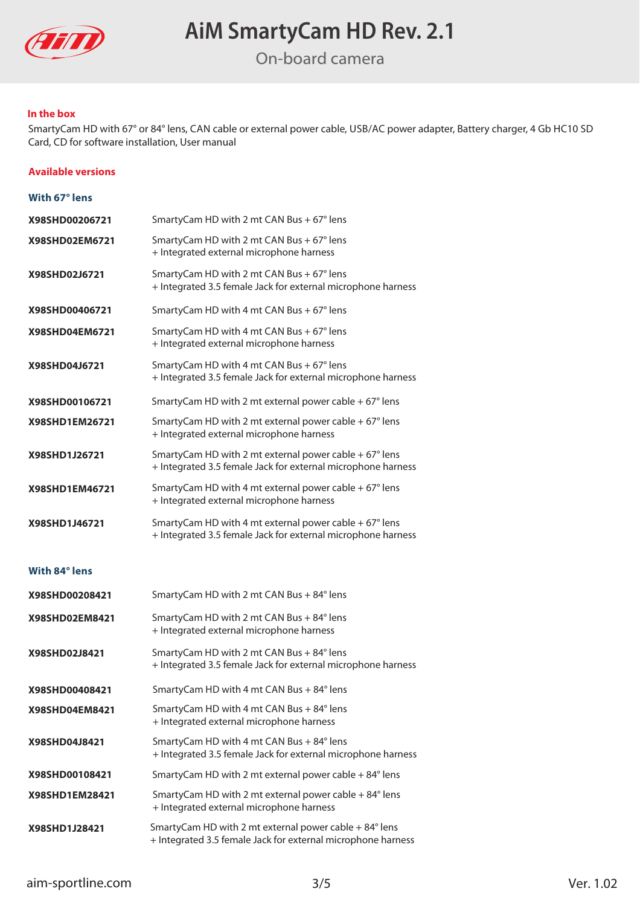

On-board camera

#### **In the box**

SmartyCam HD with 67° or 84° lens, CAN cable or external power cable, USB/AC power adapter, Battery charger, 4 Gb HC10 SD Card, CD for software installation, User manual

#### **Available versions**

| With 67° lens  |                                                                                                                                 |
|----------------|---------------------------------------------------------------------------------------------------------------------------------|
| X98SHD00206721 | SmartyCam HD with 2 mt CAN Bus + 67° lens                                                                                       |
| X98SHD02EM6721 | SmartyCam HD with 2 mt CAN Bus + 67° lens<br>+ Integrated external microphone harness                                           |
| X98SHD02J6721  | SmartyCam HD with 2 mt CAN Bus + 67° lens<br>+ Integrated 3.5 female Jack for external microphone harness                       |
| X98SHD00406721 | SmartyCam HD with 4 mt CAN Bus + 67° lens                                                                                       |
| X98SHD04EM6721 | SmartyCam HD with 4 mt CAN Bus + 67° lens<br>+ Integrated external microphone harness                                           |
| X98SHD04J6721  | SmartyCam HD with 4 mt CAN Bus + 67° lens<br>+ Integrated 3.5 female Jack for external microphone harness                       |
| X98SHD00106721 | SmartyCam HD with 2 mt external power cable $+67^{\circ}$ lens                                                                  |
| X98SHD1EM26721 | SmartyCam HD with 2 mt external power cable $+67^{\circ}$ lens<br>+ Integrated external microphone harness                      |
| X98SHD1J26721  | SmartyCam HD with 2 mt external power cable + $67^{\circ}$ lens<br>+ Integrated 3.5 female Jack for external microphone harness |
| X98SHD1EM46721 | SmartyCam HD with 4 mt external power cable + 67° lens<br>+ Integrated external microphone harness                              |
| X98SHD1J46721  | SmartyCam HD with 4 mt external power cable + 67° lens<br>+ Integrated 3.5 female Jack for external microphone harness          |
| With 84° lens  |                                                                                                                                 |
| X98SHD00208421 | SmartyCam HD with 2 mt CAN Bus + 84° lens                                                                                       |
| X98SHD02EM8421 | SmartyCam HD with 2 mt CAN Bus + 84° lens<br>+ Integrated external microphone harness                                           |
| X98SHD02J8421  | SmartyCam HD with 2 mt CAN Bus + 84° lens<br>+ Integrated 3.5 female Jack for external microphone harness                       |
| X98SHD00408421 | SmartyCam HD with 4 mt CAN Bus + 84° lens                                                                                       |
| X98SHD04EM8421 | SmartyCam HD with 4 mt CAN Bus + 84° lens<br>+ Integrated external microphone harness                                           |

- **X98SHD04J8421** SmartyCam HD with 4 mt CAN Bus + 84° lens + Integrated 3.5 female Jack for external microphone harness
- SmartyCam HD with 2 mt external power cable + 84° lens **X98SHD00108421 X98SHD1EM28421** SmartyCam HD with 2 mt external power cable + 84° lens + Integrated external microphone harness
- **X98SHD1J28421** SmartyCam HD with 2 mt external power cable + 84° lens + Integrated 3.5 female Jack for external microphone harness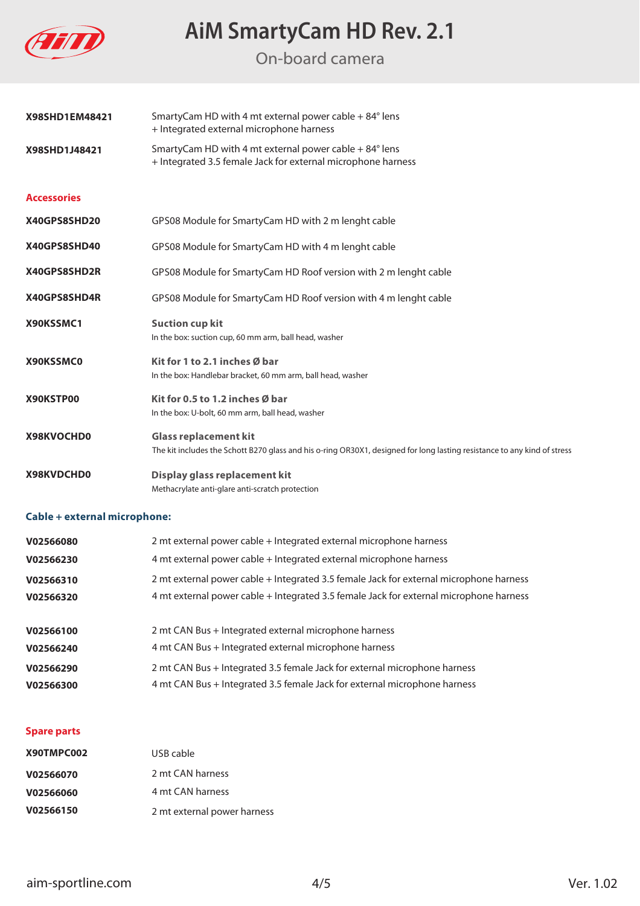

On-board camera

| X98SHD1EM48421     | SmartyCam HD with 4 mt external power cable + 84° lens<br>+ Integrated external microphone harness                                                       |
|--------------------|----------------------------------------------------------------------------------------------------------------------------------------------------------|
| X98SHD1J48421      | SmartyCam HD with 4 mt external power cable + 84° lens<br>+ Integrated 3.5 female Jack for external microphone harness                                   |
| <b>Accessories</b> |                                                                                                                                                          |
| X40GPS8SHD20       | GPS08 Module for SmartyCam HD with 2 m lenght cable                                                                                                      |
| X40GPS8SHD40       | GPS08 Module for SmartyCam HD with 4 m lenght cable                                                                                                      |
| X40GPS8SHD2R       | GPS08 Module for SmartyCam HD Roof version with 2 m lenght cable                                                                                         |
| X40GPS8SHD4R       | GPS08 Module for SmartyCam HD Roof version with 4 m lenght cable                                                                                         |
| X90KSSMC1          | <b>Suction cup kit</b><br>In the box: suction cup, 60 mm arm, ball head, washer                                                                          |
| X90KSSMC0          | Kit for 1 to 2.1 inches Ø bar<br>In the box: Handlebar bracket, 60 mm arm, ball head, washer                                                             |
| X90KSTP00          | Kit for 0.5 to 1.2 inches Ø bar<br>In the box: U-bolt, 60 mm arm, ball head, washer                                                                      |
| X98KVOCHD0         | <b>Glass replacement kit</b><br>The kit includes the Schott B270 glass and his o-ring OR30X1, designed for long lasting resistance to any kind of stress |
| X98KVDCHD0         | Display glass replacement kit<br>Methacrylate anti-glare anti-scratch protection                                                                         |

### **Cable + external microphone:**

| V02566080 | 2 mt external power cable + Integrated external microphone harness                     |
|-----------|----------------------------------------------------------------------------------------|
| V02566230 | 4 mt external power cable + Integrated external microphone harness                     |
| V02566310 | 2 mt external power cable + Integrated 3.5 female Jack for external microphone harness |
| V02566320 | 4 mt external power cable + Integrated 3.5 female Jack for external microphone harness |
|           |                                                                                        |
| V02566100 | 2 mt CAN Bus + Integrated external microphone harness                                  |
| V02566240 | 4 mt CAN Bus + Integrated external microphone harness                                  |
| V02566290 | 2 mt CAN Bus + Integrated 3.5 female Jack for external microphone harness              |
| V02566300 | 4 mt CAN Bus + Integrated 3.5 female Jack for external microphone harness              |

#### **Spare parts**

| X90TMPC002 | USB cable                   |
|------------|-----------------------------|
| V02566070  | 2 mt CAN harness            |
| V02566060  | 4 mt CAN harness            |
| V02566150  | 2 mt external power harness |